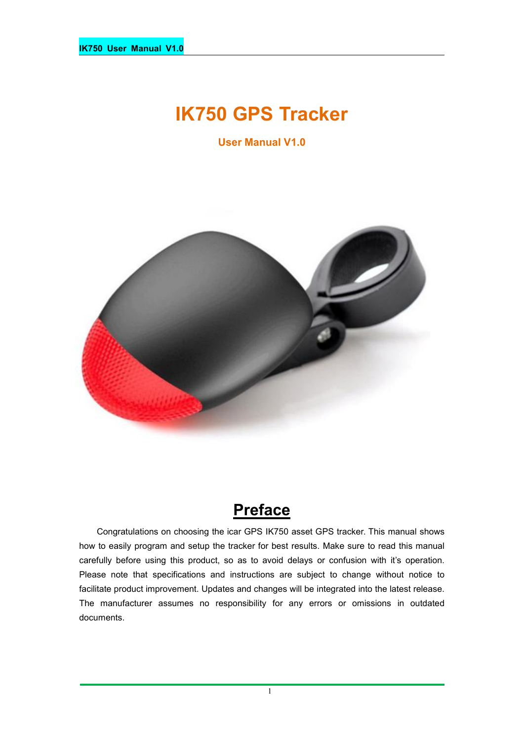# **IK750 GPS Tracker**

**User Manual V1.0**



# **Preface**

Congratulations on choosing the icar GPS IK750 asset GPS tracker. This manual shows how to easily program and setup the tracker for best results. Make sure to read this manual carefully before using this product, so as to avoid delays or confusion with it's operation. Please note that specifications and instructions are subject to change without notice to facilitate product improvement. Updates and changes will be integrated into the latest release. The manufacturer assumes no responsibility for any errors or omissions in outdated documents.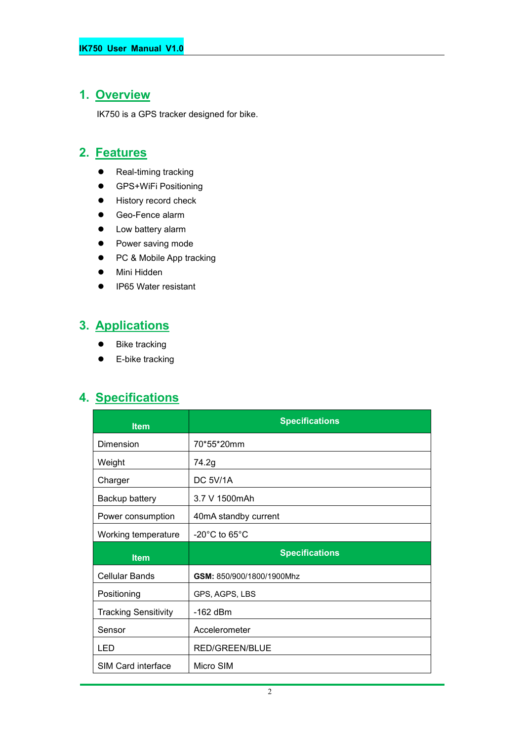# **1. Overview**

IK750 is a GPS tracker designed for bike.

### **2. Features**

- Real-timing tracking
- **•** GPS+WiFi Positioning
- **•** History record check
- Geo-Fence alarm
- Low battery alarm
- Power saving mode
- PC & Mobile App tracking
- Mini Hidden
- IP65 Water resistant

# **3. Applications**

- Bike tracking
- **•** E-bike tracking

## **4. Specifications**

| <b>Item</b>                 | <b>Specifications</b>              |  |
|-----------------------------|------------------------------------|--|
| Dimension                   | 70*55*20mm                         |  |
| Weight                      | 74.2g                              |  |
| Charger                     | DC 5V/1A                           |  |
| Backup battery              | 3.7 V 1500mAh                      |  |
| Power consumption           | 40mA standby current               |  |
| Working temperature         | $-20^{\circ}$ C to 65 $^{\circ}$ C |  |
|                             |                                    |  |
| <b>Item</b>                 | <b>Specifications</b>              |  |
| <b>Cellular Bands</b>       | GSM: 850/900/1800/1900Mhz          |  |
| Positioning                 | GPS, AGPS, LBS                     |  |
| <b>Tracking Sensitivity</b> | $-162$ dBm                         |  |
| Sensor                      | Accelerometer                      |  |
| LED                         | <b>RED/GREEN/BLUE</b>              |  |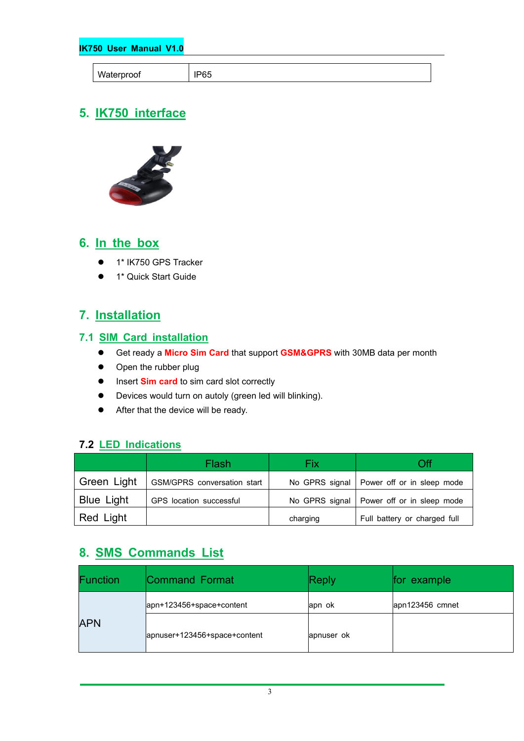**IK750 User Manual V1.0**

| Waterr          |        |
|-----------------|--------|
| <b>UUI</b><br>. | <br>~~ |
|                 |        |

# **5. IK750 interface**



### **6. In the box**

- 1\* IK750 GPS Tracker
- 1\* Quick Start Guide

### **7. Installation**

#### **7.1 SIM Card installation**

- Get ready a **Micro Sim Card** that support **GSM&GPRS** with30MB data per month
- Open the rubber plug
- **Insert Sim card** to sim card slot correctly
- Devices would turn on autoly (green led will blinking).
- After that the device will be ready.

#### **7.2 LED Indications**

|                   | Flash                              | Fix      | Эff                                         |
|-------------------|------------------------------------|----------|---------------------------------------------|
| Green Light       | <b>GSM/GPRS</b> conversation start |          | No GPRS signal   Power off or in sleep mode |
| <b>Blue Light</b> | GPS location successful            |          | No GPRS signal   Power off or in sleep mode |
| Red Light         |                                    | charging | Full battery or charged full                |

### **8. SMS Commands List**

|            | <b>Function</b> | Command Format               | Reply      | for example     |
|------------|-----------------|------------------------------|------------|-----------------|
| <b>APN</b> |                 | apn+123456+space+content     | apn ok     | apn123456 cmnet |
|            |                 | apnuser+123456+space+content | apnuser ok |                 |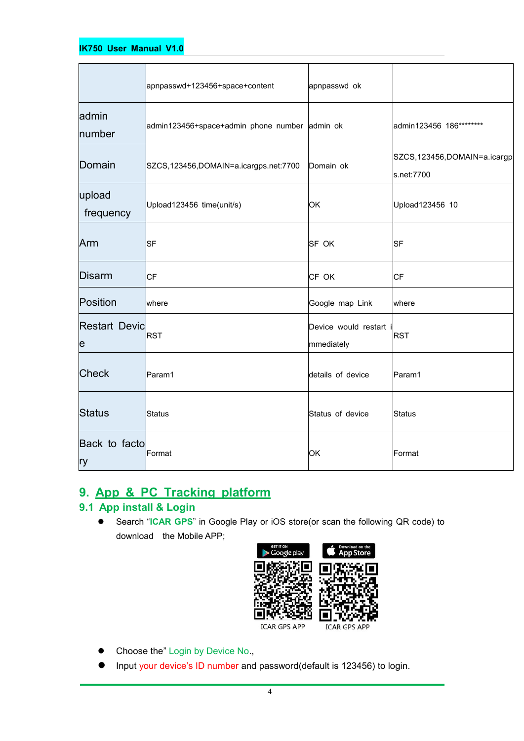#### **IK750 User Manual V1.0**

|                           | apnpasswd+123456+space+content                | apnpasswd ok                         |                                           |
|---------------------------|-----------------------------------------------|--------------------------------------|-------------------------------------------|
| admin<br>number           | admin123456+space+admin phone number admin ok |                                      | admin123456 186********                   |
| Domain                    | SZCS,123456,DOMAIN=a.icargps.net:7700         | Domain ok                            | SZCS,123456,DOMAIN=a.icargp<br>s.net:7700 |
| upload<br>frequency       | Upload123456 time(unit/s)                     | <b>OK</b>                            | Upload123456 10                           |
| Arm                       | <b>SF</b>                                     | <b>SF OK</b>                         | SF                                        |
| Disarm                    | <b>CF</b>                                     | CF OK                                | СF                                        |
| Position                  | where                                         | Google map Link                      | where                                     |
| <b>Restart Devic</b><br>e | RST                                           | Device would restart i<br>mmediately | <b>RST</b>                                |
| <b>Check</b>              | Param1                                        | details of device                    | Param1                                    |
| Status                    | Status                                        | Status of device                     | Status                                    |
| Back to facto<br>ry       | Format                                        | <b>OK</b>                            | Format                                    |

### **9. App & PC Tracking platform**

### **9.1 App install & Login**

 Search "**ICAR GPS**" in Google Play or iOS store(or scan the following QR code) to download the Mobile APP;



- Choose the" Login by Device No.,
- Input your device's ID number and password(default is 123456) to login.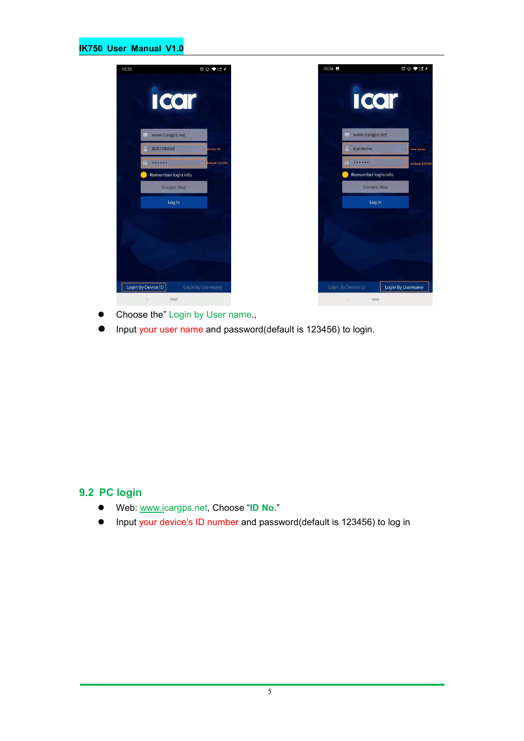#### **IK750 User Manual V1.0**



- Choose the" Login by User name.,
- Input your user name and password(default is 123456) to login.

#### **9.2 PC login**

- Web: [www.ic](http://www.trackits.com)argps.net, Choose "**ID No**."
- Input your device's ID number and password(default is 123456) to log in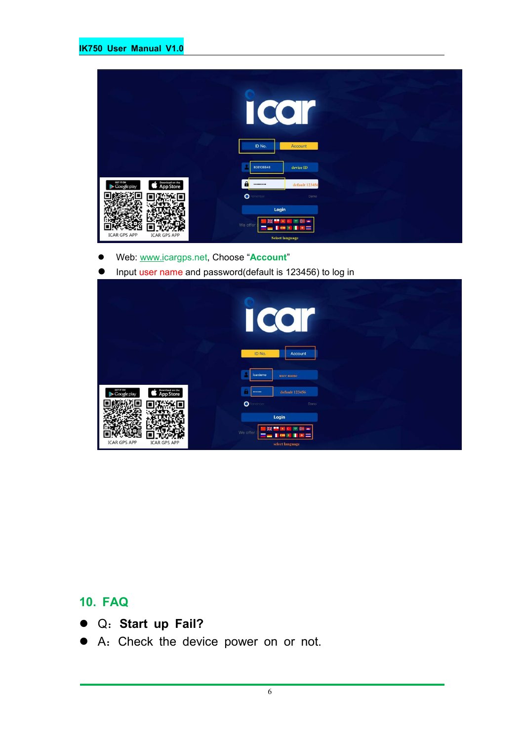|                                                                 | $\overline{\mathcal{C}}$<br>ID No. | Account                                              |
|-----------------------------------------------------------------|------------------------------------|------------------------------------------------------|
|                                                                 | 808108848                          | device ID                                            |
| GET IT ON<br>Download on the<br><b>App Store</b><br>Google play | $\mathbf{a}$<br>                   | default 123456                                       |
|                                                                 | $\bullet$<br>enember               | Demo                                                 |
|                                                                 | Login                              |                                                      |
| <b>ICAR GPS APP</b><br><b>ICAR GPS APP</b>                      | We offer                           | ٠<br>$\star$<br>$\epsilon$<br><b>Select language</b> |

- Web: [www.ic](http://www.trackits.com)argps.net, Choose "**Account**"
- Input user name and password(default is 123456) to log in

|                                                                 | CO<br>I<br>ID No.<br>Account                                                      |  |
|-----------------------------------------------------------------|-----------------------------------------------------------------------------------|--|
|                                                                 | icardemo<br>user name                                                             |  |
| Download on the<br>GET IT ON<br><b>App Store</b><br>Google play | default 123456<br>-                                                               |  |
|                                                                 | $\bullet$<br>enember<br>Demo                                                      |  |
|                                                                 | Login                                                                             |  |
| <b>ICAR GPS APP</b><br><b>ICAR GPS APP</b>                      | ÷<br>疆<br>744<br>We offer<br>a i<br><b>COMPANY</b><br><b>W</b><br>select language |  |

## **10. FAQ**

- Q:**Start up Fail?**
- A:Check the device power on or not.